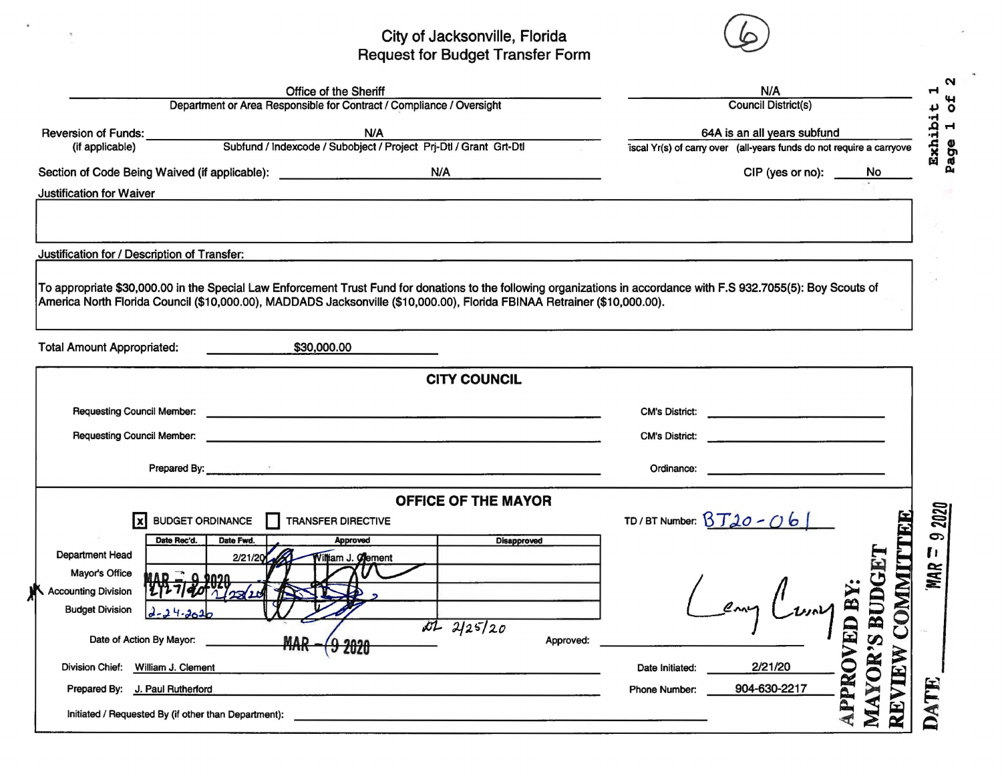## City of Jacksonville, Florida<br>Request for Budget Transfer Form

 $\bullet$ 

 $\frac{1}{2}$ 



|                                              | <b>Office of the Sheriff</b>                                                                                                                                                                                                                                                                    | N/A<br><b>Council District(s)</b>                                                                                                             |             |  |  |  |  |  |  |
|----------------------------------------------|-------------------------------------------------------------------------------------------------------------------------------------------------------------------------------------------------------------------------------------------------------------------------------------------------|-----------------------------------------------------------------------------------------------------------------------------------------------|-------------|--|--|--|--|--|--|
|                                              | Department or Area Responsible for Contract / Compliance / Oversight                                                                                                                                                                                                                            |                                                                                                                                               |             |  |  |  |  |  |  |
| Reversion of Funds:                          | N/A<br>N/A<br>Subfund / Indexcode / Subobject / Project Prj-Dtl / Grant Grt-Dtl                                                                                                                                                                                                                 | 64A is an all years subfund                                                                                                                   |             |  |  |  |  |  |  |
| (if applicable)                              |                                                                                                                                                                                                                                                                                                 | iscal Yr(s) of carry over (all-years funds do not require a carryove                                                                          |             |  |  |  |  |  |  |
|                                              | Section of Code Being Waived (if applicable): ___________________________________ N/A                                                                                                                                                                                                           | CIP (yes or no):<br>No.                                                                                                                       |             |  |  |  |  |  |  |
| <b>Justification for Waiver</b>              |                                                                                                                                                                                                                                                                                                 |                                                                                                                                               |             |  |  |  |  |  |  |
|                                              |                                                                                                                                                                                                                                                                                                 |                                                                                                                                               |             |  |  |  |  |  |  |
|                                              |                                                                                                                                                                                                                                                                                                 |                                                                                                                                               |             |  |  |  |  |  |  |
| Justification for / Description of Transfer: |                                                                                                                                                                                                                                                                                                 |                                                                                                                                               |             |  |  |  |  |  |  |
|                                              |                                                                                                                                                                                                                                                                                                 |                                                                                                                                               |             |  |  |  |  |  |  |
|                                              | To appropriate \$30,000.00 in the Special Law Enforcement Trust Fund for donations to the following organizations in accordance with F.S 932.7055(5): Boy Scouts of<br>America North Florida Council (\$10,000.00), MADDADS Jacksonville (\$10,000.00), Florida FBINAA Retrainer (\$10,000.00). |                                                                                                                                               |             |  |  |  |  |  |  |
|                                              |                                                                                                                                                                                                                                                                                                 |                                                                                                                                               |             |  |  |  |  |  |  |
| <b>Total Amount Appropriated:</b>            | \$30,000.00                                                                                                                                                                                                                                                                                     |                                                                                                                                               |             |  |  |  |  |  |  |
|                                              |                                                                                                                                                                                                                                                                                                 |                                                                                                                                               |             |  |  |  |  |  |  |
|                                              | <b>CITY COUNCIL</b>                                                                                                                                                                                                                                                                             |                                                                                                                                               |             |  |  |  |  |  |  |
|                                              | Requesting Council Member: <u>example and the set of the set of the set of the set of the set of the set of the set of the set of the set of the set of the set of the set of the set of the set of the set of the set of the se</u>                                                            | <b>CM's District:</b><br><u> Alexandria de la contrada de la contrada de la contrada de la contrada de la contrada de la contrada de la c</u> |             |  |  |  |  |  |  |
| <b>Requesting Council Member:</b>            |                                                                                                                                                                                                                                                                                                 |                                                                                                                                               |             |  |  |  |  |  |  |
|                                              |                                                                                                                                                                                                                                                                                                 | <b>CM's District:</b>                                                                                                                         |             |  |  |  |  |  |  |
|                                              | Prepared By: <b>Example 2018</b> Section 2018 2019 12:30:30 Section 2018 2019 12:30:30 Section 2019 12:30:30 Section 2019 12:30:30 Section 2019 12:30:30 Section 2019 12:30:30 Section 2019 12:30:30 Section 2019 12:30:30 Section                                                              | <u> 1989 - Johann Barbara, martin di</u><br>Ordinance:                                                                                        |             |  |  |  |  |  |  |
|                                              | <b>OFFICE OF THE MAYOR</b>                                                                                                                                                                                                                                                                      |                                                                                                                                               |             |  |  |  |  |  |  |
| <b>BUDGET ORDINANCE</b><br> x                | Н<br><b>TRANSFER DIRECTIVE</b>                                                                                                                                                                                                                                                                  | TD/BT Number: $BT20 - 06$                                                                                                                     |             |  |  |  |  |  |  |
| Date Rec'd.<br>Date Fwd.                     | <b>Disapproved</b><br><b>Approved</b>                                                                                                                                                                                                                                                           |                                                                                                                                               |             |  |  |  |  |  |  |
| Department Head                              | 2/21/20<br>Villiam J. Clement                                                                                                                                                                                                                                                                   |                                                                                                                                               |             |  |  |  |  |  |  |
|                                              |                                                                                                                                                                                                                                                                                                 |                                                                                                                                               |             |  |  |  |  |  |  |
| Mayor's Office                               |                                                                                                                                                                                                                                                                                                 |                                                                                                                                               |             |  |  |  |  |  |  |
| Accounting Division                          |                                                                                                                                                                                                                                                                                                 |                                                                                                                                               | MAR         |  |  |  |  |  |  |
| <b>Budget Division</b><br>$24 - 2020$        |                                                                                                                                                                                                                                                                                                 |                                                                                                                                               |             |  |  |  |  |  |  |
|                                              | 1125/20                                                                                                                                                                                                                                                                                         | BUD<br>leny<br>L                                                                                                                              | <b>IMMO</b> |  |  |  |  |  |  |
| Date of Action By Mayor:                     | Approved:<br><b>MAR</b>                                                                                                                                                                                                                                                                         | $\boldsymbol{\omega}$                                                                                                                         |             |  |  |  |  |  |  |
| Division Chief: William J. Clement           |                                                                                                                                                                                                                                                                                                 | 2/21/20<br>Date Initiated:                                                                                                                    |             |  |  |  |  |  |  |
| Prepared By: J. Paul Rutherford              |                                                                                                                                                                                                                                                                                                 | <b>APPROVED B</b><br><b>AYOR?</b><br>904-630-2217<br>Phone Number:                                                                            | IE          |  |  |  |  |  |  |